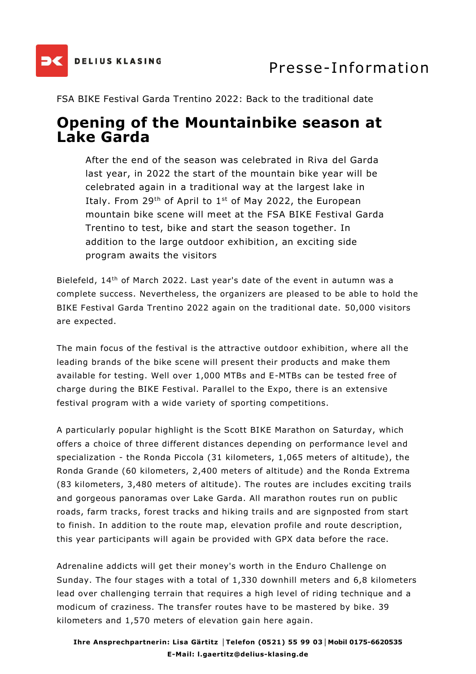

FSA BIKE Festival Garda Trentino 2022: Back to the traditional date

## **Opening of the Mountainbike season at Lake Garda**

After the end of the season was celebrated in Riva del Garda last year, in 2022 the start of the mountain bike year will be celebrated again in a traditional way at the largest lake in Italy. From 29<sup>th</sup> of April to  $1<sup>st</sup>$  of May 2022, the European mountain bike scene will meet at the FSA BIKE Festival Garda Trentino to test, bike and start the season together. In addition to the large outdoor exhibition, an exciting side program awaits the visitors

Bielefeld, 14th of March 2022. Last year's date of the event in autumn was a complete success. Nevertheless, the organizers are pleased to be able to hold the BIKE Festival Garda Trentino 2022 again on the traditional date. 50,000 visitors are expected.

The main focus of the festival is the attractive outdoor exhibition, where all the leading brands of the bike scene will present their products and make them available for testing. Well over 1,000 MTBs and E-MTBs can be tested free of charge during the BIKE Festival. Parallel to the Expo, there is an extensive festival program with a wide variety of sporting competitions.

A particularly popular highlight is the Scott BIKE Marathon on Saturday, which offers a choice of three different distances depending on performance level and specialization - the Ronda Piccola (31 kilometers, 1,065 meters of altitude), the Ronda Grande (60 kilometers, 2,400 meters of altitude) and the Ronda Extrema (83 kilometers, 3,480 meters of altitude). The routes are includes exciting trails and gorgeous panoramas over Lake Garda. All marathon routes run on public roads, farm tracks, forest tracks and hiking trails and are signposted from start to finish. In addition to the route map, elevation profile and route description, this year participants will again be provided with GPX data before the race.

Adrenaline addicts will get their money's worth in the Enduro Challenge on Sunday. The four stages with a total of 1,330 downhill meters and 6,8 kilometers lead over challenging terrain that requires a high level of riding technique and a modicum of craziness. The transfer routes have to be mastered by bike. 39 kilometers and 1,570 meters of elevation gain here again.